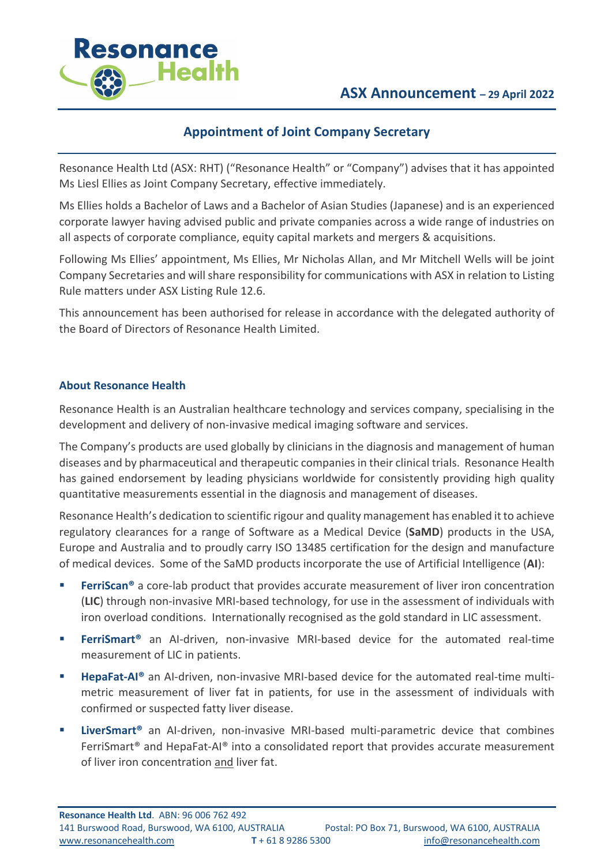

## **Appointment of Joint Company Secretary**

Resonance Health Ltd (ASX: RHT) ("Resonance Health" or "Company") advises that it has appointed Ms Liesl Ellies as Joint Company Secretary, effective immediately.

Ms Ellies holds a Bachelor of Laws and a Bachelor of Asian Studies (Japanese) and is an experienced corporate lawyer having advised public and private companies across a wide range of industries on all aspects of corporate compliance, equity capital markets and mergers & acquisitions.

Following Ms Ellies' appointment, Ms Ellies, Mr Nicholas Allan, and Mr Mitchell Wells will be joint Company Secretaries and will share responsibility for communications with ASX in relation to Listing Rule matters under ASX Listing Rule 12.6.

This announcement has been authorised for release in accordance with the delegated authority of the Board of Directors of Resonance Health Limited.

## **About Resonance Health**

Resonance Health is an Australian healthcare technology and services company, specialising in the development and delivery of non-invasive medical imaging software and services.

The Company's products are used globally by clinicians in the diagnosis and management of human diseases and by pharmaceutical and therapeutic companies in their clinical trials. Resonance Health has gained endorsement by leading physicians worldwide for consistently providing high quality quantitative measurements essential in the diagnosis and management of diseases.

Resonance Health's dedication to scientific rigour and quality management has enabled it to achieve regulatory clearances for a range of Software as a Medical Device (**SaMD**) products in the USA, Europe and Australia and to proudly carry ISO 13485 certification for the design and manufacture of medical devices. Some of the SaMD products incorporate the use of Artificial Intelligence (**AI**):

- **FerriScan<sup>®</sup>** a core-lab product that provides accurate measurement of liver iron concentration (**LIC**) through non-invasive MRI-based technology, for use in the assessment of individuals with iron overload conditions. Internationally recognised as the gold standard in LIC assessment.
- § **FerriSmart®** an AI-driven, non-invasive MRI-based device for the automated real-time measurement of LIC in patients.
- § **HepaFat-AI®** an AI-driven, non-invasive MRI-based device for the automated real-time multimetric measurement of liver fat in patients, for use in the assessment of individuals with confirmed or suspected fatty liver disease.
- § **LiverSmart®** an AI-driven, non-invasive MRI-based multi-parametric device that combines FerriSmart<sup>®</sup> and HepaFat-AI® into a consolidated report that provides accurate measurement of liver iron concentration and liver fat.